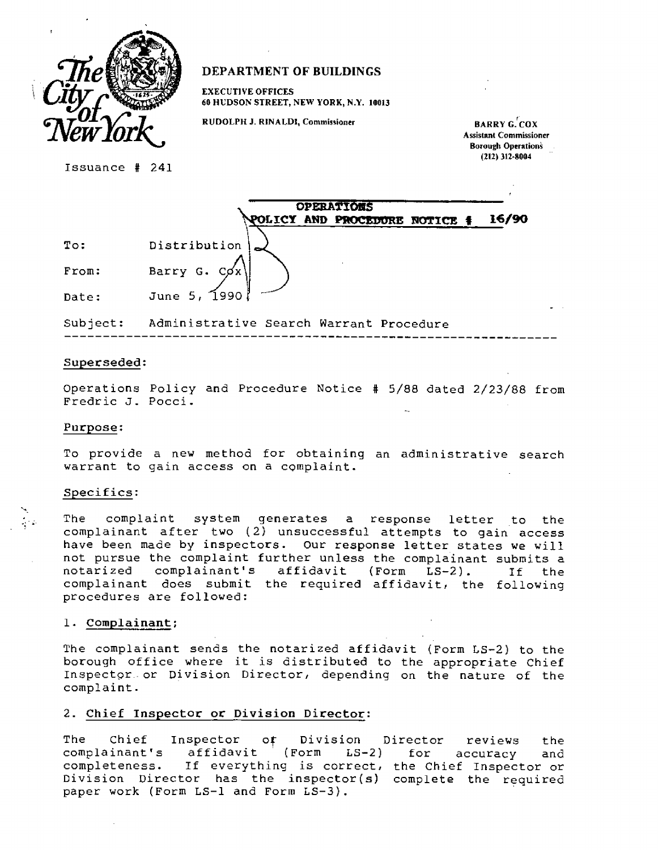

# **DEPARTMENT OF BUILDINGS**

**EXECUTIVE OFFICES 60 HUDSON STREET, NEW YORK, N.Y. 10013** 

RUDOLPH J. RINALDI, Commissioner **BARRY G. COX** 

**Assistant Commissioner Borough Operation's (212) 312-8004** 

Issuance # 241

|                         | <b>OPERATIONS</b>                   |
|-------------------------|-------------------------------------|
|                         | OLICY AND PROCEDURE NOTICE<br>16/90 |
| $\texttt{T}\circ\colon$ | Distribution                        |
| From:                   | Barry G. Cox!                       |
| Date:                   | June 5, 1990                        |

Subject: Administrative Search Warrant Procedure

#### **Superseded:**

Operations Policy and Procedure Notice # 5/88 dated 2/23/88 from Fredric J. Pocci.

### **Purpose:**

To provide a new method for obtaining an administrative search warrant to gain access on a complaint.

#### Specifics:

The complaint system generates a response letter to the complainant after two (2) unsuccessful attempts to gain access have been made by inspectors. Our response letter states we will not pursue the complaint further unless the complainant submits a notarized complainant's affidavit (Form LS-2). If the complainant does submit the required affidavit, the following procedures are followed:

### **1. Complainant;**

The complainant sends the notarized affidavit (Form LS-2) to the borough office where it is distributed to the appropriate Chief Inspector or Division Director, depending on the nature of the complaint.

## **2. Chief Inspector or Division Director:**

The Chief Inspector of Division Director reviews the complainant's affidavit (Form LS-2) for accuracy and completeness. If everything is correct, the Chief Inspector or Division Director has the inspector(s) complete the required paper work (Form LS-1 and Form LS-3).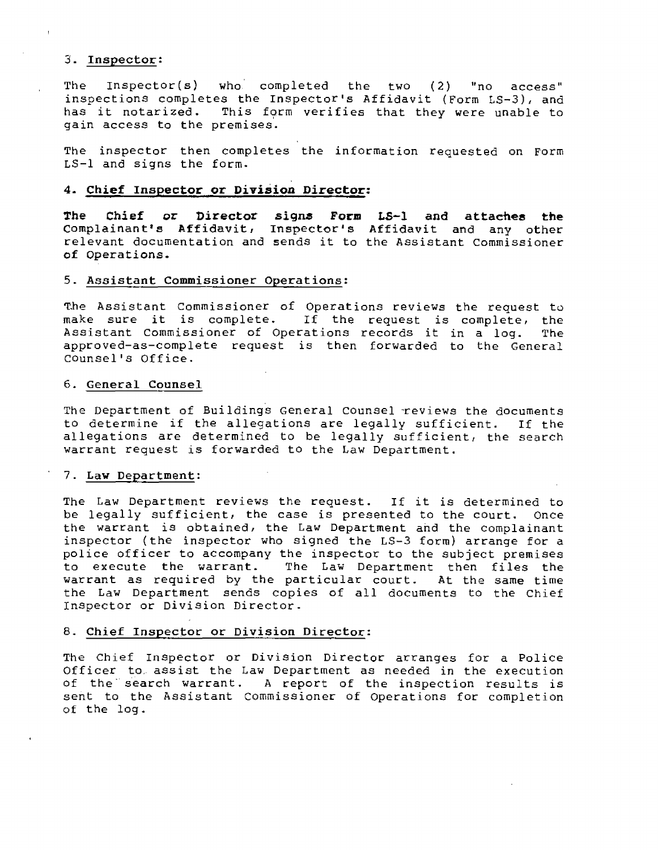## **. Inspector:**

The Inspector(s) who completed the two (2) "no access" inspections completes the Inspector's Affidavit (Form LS-3), and has it notarized. This form verifies that they were unable to gain access to the premises.

The inspector then completes the information requested on Form LS-1 and signs the form.

### **4. Chief Inspector or Division Director:**

**The Chief or Director signs Form LS-1 and attaches the Complainant's Affidavit, Inspector's Affidavit and any other relevant documentation and sends it to the Assistant Commissioner of Operations.** 

#### **5. Assistant Commissioner Operations:**

**The Assistant** Commissioner of Operations reviews the request **to make sure it is complete. If the request is complete,** the Assistant Commissioner of Operations records it in a log. The approved-as-complete request is then forwarded to the General Counsel's Office.

#### **6. General Counsel**

The Department of Buildings General Counsel reviews the documents to determine if the allegations are legally sufficient. If the allegations are determined to be legally sufficient, the search warrant request is forwarded to the Law Department.

#### **7. Law Department:**

The Law Department reviews the request. If it is determined to be legally sufficient, the case is presented to the court. Once the warrant is obtained, the Law Department and the complainant inspector (the inspector who signed the LS-3 form) arrange for a police officer to accompany the inspector to the subject premises to execute the warrant. The Law Department then files the warrant as required by the particular court. At the same time the Law Department sends copies of all documents to the Chief Inspector or Division Director.

### **8. Chief Inspector or Division Director:**

The Chief Inspector or Division Director arranges for a Police Officer to. assist the Law Department as needed in the execution of the search warrant. A report of the inspection results is sent to the Assistant Commissioner of Operations for completion of the log.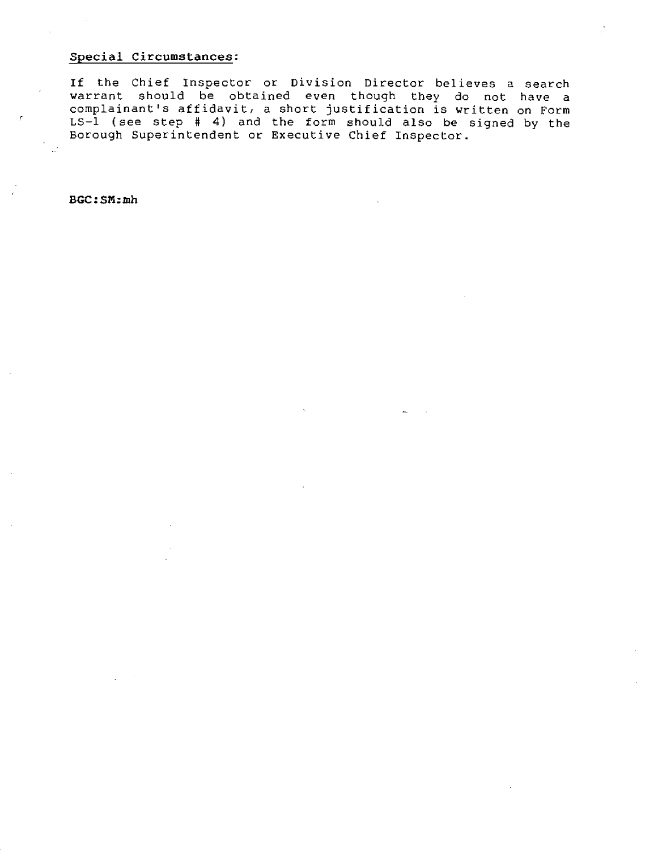# **!pecial Circumstances:**

**If** the Chief Inspector or Division Director believes a search warrant should be obtained even though they do not have a complainant's affidavit, a short justification is written on Form LS-1 (see step # 4) and the form should also be signed by the Borough Superintendent or Executive Chief Inspector.

**BGC:SM:mh**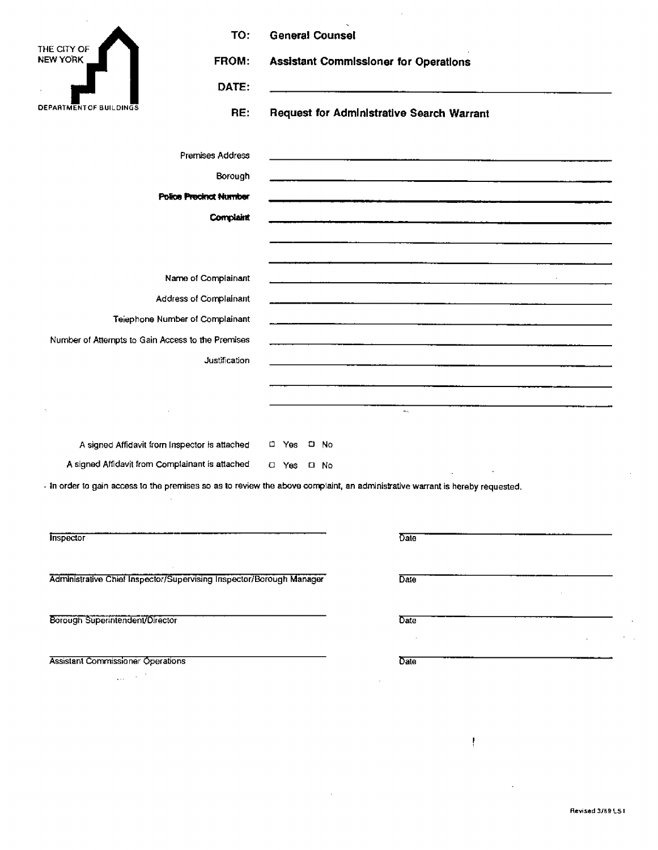| THE CITY OF                                       | TO:                                                                  | <b>General Counsel</b>                |                                                                                                                               |  |
|---------------------------------------------------|----------------------------------------------------------------------|---------------------------------------|-------------------------------------------------------------------------------------------------------------------------------|--|
| <b>NEW YORK</b>                                   | FROM:                                                                | Assistant Commissioner for Operations |                                                                                                                               |  |
| <b>DEPARTMENT OF BUILDINGS</b>                    | DATE:                                                                |                                       | <u> 1980 - Antonio Alemania, presidente de la contexta de la contexta de la contexta de la contexta de la context</u>         |  |
|                                                   | RE:                                                                  |                                       | <b>Request for Administrative Search Warrant</b>                                                                              |  |
|                                                   | Premises Address                                                     |                                       | <u> 2000 - San Amerikaanse kommunister (* 1950), deur de eerste kommunister (* 1950), deur de eerste kommunister</u>          |  |
|                                                   | Borough                                                              |                                       |                                                                                                                               |  |
|                                                   | Police Precinct Number                                               |                                       | t de la composició de la constitución de la constitución de la constitución de la constitución de la constitució              |  |
|                                                   | <b>Complaint</b>                                                     |                                       | .<br>1980 - Paul Barnett, mensional mengentuk kecamaan pengerusaan kecamaan di Selasa September 1990 - Paul Barnet            |  |
|                                                   |                                                                      |                                       |                                                                                                                               |  |
|                                                   | Name of Complainant                                                  |                                       |                                                                                                                               |  |
| Address of Complainant                            |                                                                      |                                       |                                                                                                                               |  |
| Telephone Number of Complainant                   |                                                                      |                                       |                                                                                                                               |  |
| Number of Attempts to Gain Access to the Premises |                                                                      |                                       |                                                                                                                               |  |
|                                                   | Justification                                                        |                                       |                                                                                                                               |  |
|                                                   |                                                                      |                                       |                                                                                                                               |  |
|                                                   |                                                                      |                                       | $\mathbf{z}_\mathrm{max}$                                                                                                     |  |
|                                                   | A signed Affidavit from Inspector is attached                        | □ Yes □ No                            |                                                                                                                               |  |
|                                                   | A signed Affidavit from Complainant is attached                      | □ Yes □ No                            |                                                                                                                               |  |
|                                                   |                                                                      |                                       | - In order to gain access to the premises so as to review the above complaint, an administrative warrant is hereby requested. |  |
| <b>Inspector</b>                                  |                                                                      |                                       | Date                                                                                                                          |  |
|                                                   | Administrative Chief Inspector/Supervising Inspector/Borough Manager |                                       | Date                                                                                                                          |  |
| Borough Superintendent/Director                   |                                                                      |                                       | Date                                                                                                                          |  |
| Assistant Commissioner Operations                 |                                                                      |                                       | Date                                                                                                                          |  |
| gas in the T                                      |                                                                      |                                       |                                                                                                                               |  |

 $\sim 10$ 

Revised 3/ag L81

 $\mathbf{I}$ 

 $\ddot{\phantom{a}}$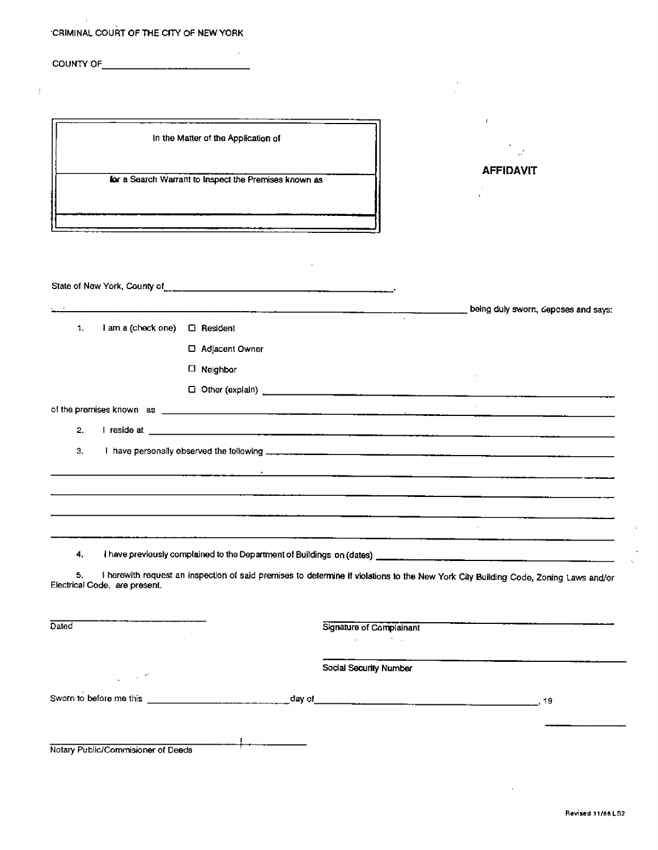### -CRIMINAL COURT OF THE CITY OF NEW YORK

COUNTY OF **COUNTY** OF **COUNTY** OF **COUNTY** OF **COUNTY** OF **COUNTY** OF **COUNTY** OF **COUNTY** OF **COUNTY** OF **COUNTY** OF **COUNTY** OF **COUNTY** OF **COUNTY** OF **COUNTY** OF **COUNTY** OF **COUNTY** OF **COUNTY** OF **COUNTY** OF **COUNTY** 

 $\mathbf{r}$ In the Matter of the Application of **AFFIDAVIT for a Search Warrant to Inspect the Premises known as**  $\bar{z}$ State of New York, County of **EXECUTE:** being duly sworn, deposes and says: 1. **I** am a (chock one) ❑ Resident ❑ Adjacent Owner ❑ Neighbor ❑ Other (explain) of the premises known as \_ 2. I reside at \_\_ 3. I have personally observed the following <u> The Communication of the Communication of the Communication of the Communication of the Communication of the Communication of the Communication of the Communication of the Communication of the Communication of the Commun</u>  $\mathcal{L}_{\mathcal{A}}$ **4. I** have previously complained to the Department of Buildings on (dates)  $\sim 10^{11}$  km  $^{-1}$ 5. I herewith request an inspection of said premises to determine if violations to the New York City Building Code, Zoning Laws and/or Electrical Code, are present. Dated Signature of Complainant  $\mathcal{L}_{\text{max}}$  and  $\mathcal{L}_{\text{max}}$  . The set of  $\mathcal{L}_{\text{max}}$ Social Security Number  $\frac{1}{2\pi}$  (  $\frac{1}{2}$  ,  $\frac{1}{2}$  ). Sworn to before me this day of 1 g

Notary Public/Commisioner of Deeds